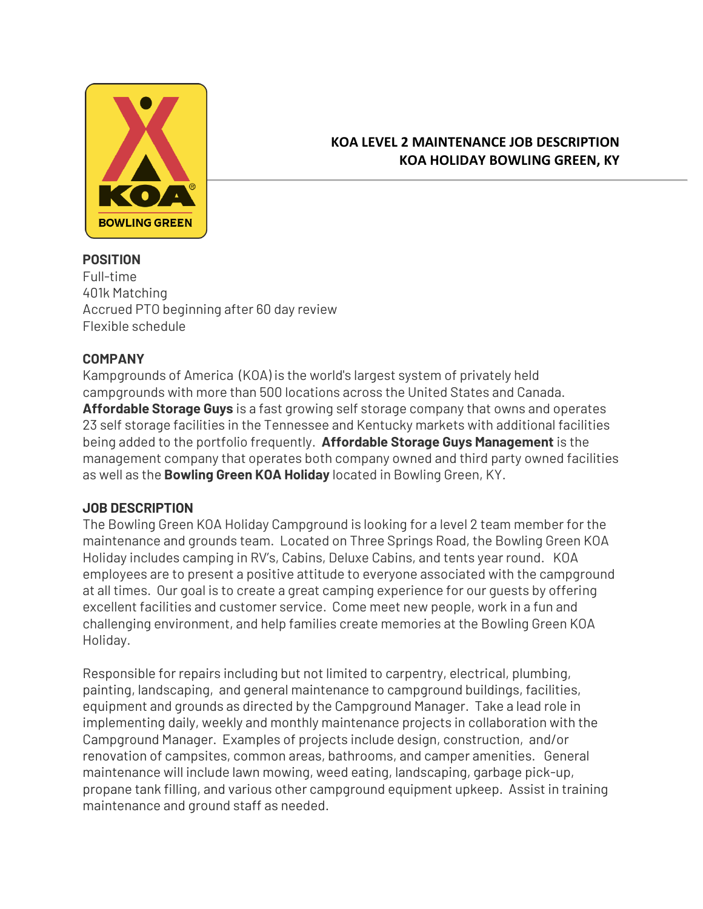

# **KOA LEVEL 2 MAINTENANCE JOB DESCRIPTION KOA HOLIDAY BOWLING GREEN, KY**

#### **POSITION** Full-time 401k Matching Accrued PTO beginning after 60 day review Flexible schedule

## **COMPANY**

Kampgrounds of America (KOA) is the world's largest system of privately held campgrounds with more than 500 locations across the United States and Canada. **Affordable Storage Guys** is a fast growing self storage company that owns and operates 23 self storage facilities in the Tennessee and Kentucky markets with additional facilities being added to the portfolio frequently. **Affordable Storage Guys Management** is the management company that operates both company owned and third party owned facilities as well as the **Bowling Green KOA Holiday** located in Bowling Green, KY.

#### **JOB DESCRIPTION**

The Bowling Green KOA Holiday Campground is looking for a level 2 team member for the maintenance and grounds team. Located on Three Springs Road, the Bowling Green KOA Holiday includes camping in RV's, Cabins, Deluxe Cabins, and tents year round. KOA employees are to present a positive attitude to everyone associated with the campground at all times. Our goal is to create a great camping experience for our guests by offering excellent facilities and customer service. Come meet new people, work in a fun and challenging environment, and help families create memories at the Bowling Green KOA Holiday.

Responsible for repairs including but not limited to carpentry, electrical, plumbing, painting, landscaping, and general maintenance to campground buildings, facilities, equipment and grounds as directed by the Campground Manager. Take a lead role in implementing daily, weekly and monthly maintenance projects in collaboration with the Campground Manager. Examples of projects include design, construction, and/or renovation of campsites, common areas, bathrooms, and camper amenities. General maintenance will include lawn mowing, weed eating, landscaping, garbage pick-up, propane tank filling, and various other campground equipment upkeep. Assist in training maintenance and ground staff as needed.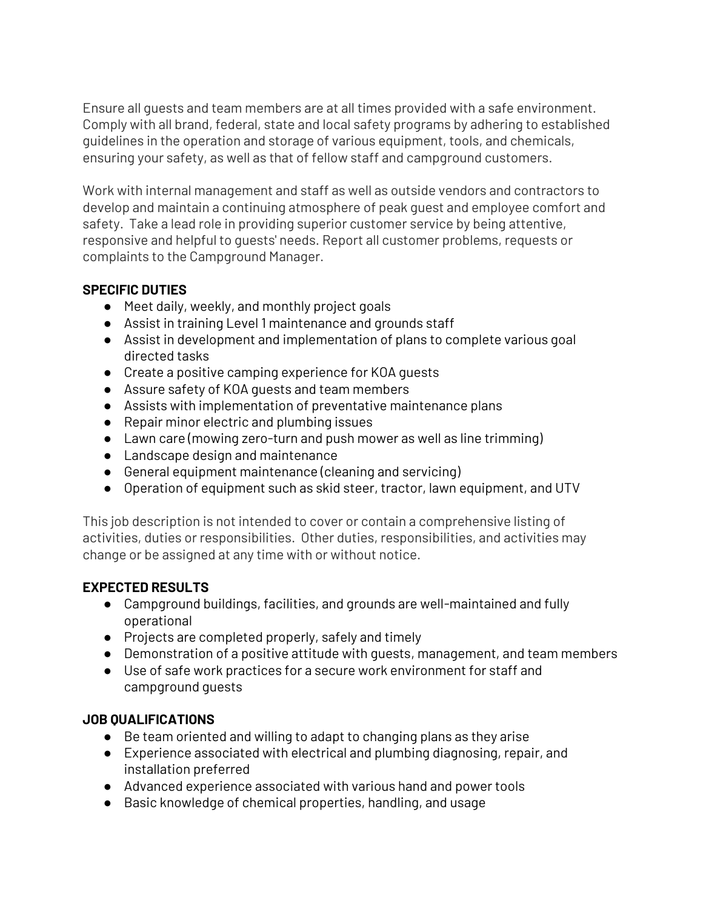Ensure all guests and team members are at all times provided with a safe environment. Comply with all brand, federal, state and local safety programs by adhering to established guidelines in the operation and storage of various equipment, tools, and chemicals, ensuring your safety, as well as that of fellow staff and campground customers.

Work with internal management and staff as well as outside vendors and contractors to develop and maintain a continuing atmosphere of peak guest and employee comfort and safety. Take a lead role in providing superior customer service by being attentive, responsive and helpful to guests' needs. Report all customer problems, requests or complaints to the Campground Manager.

# **SPECIFIC DUTIES**

- Meet daily, weekly, and monthly project goals
- Assist in training Level 1 maintenance and grounds staff
- Assist in development and implementation of plans to complete various goal directed tasks
- Create a positive camping experience for KOA guests
- Assure safety of KOA guests and team members
- Assists with implementation of preventative maintenance plans
- Repair minor electric and plumbing issues
- Lawn care (mowing zero-turn and push mower as well as line trimming)
- Landscape design and maintenance
- General equipment maintenance (cleaning and servicing)
- Operation of equipment such as skid steer, tractor, lawn equipment, and UTV

This job description is not intended to cover or contain a comprehensive listing of activities, duties or responsibilities. Other duties, responsibilities, and activities may change or be assigned at any time with or without notice.

## **EXPECTED RESULTS**

- Campground buildings, facilities, and grounds are well-maintained and fully operational
- Projects are completed properly, safely and timely
- Demonstration of a positive attitude with guests, management, and team members
- Use of safe work practices for a secure work environment for staff and campground guests

## **JOB QUALIFICATIONS**

- Be team oriented and willing to adapt to changing plans as they arise
- Experience associated with electrical and plumbing diagnosing, repair, and installation preferred
- Advanced experience associated with various hand and power tools
- Basic knowledge of chemical properties, handling, and usage